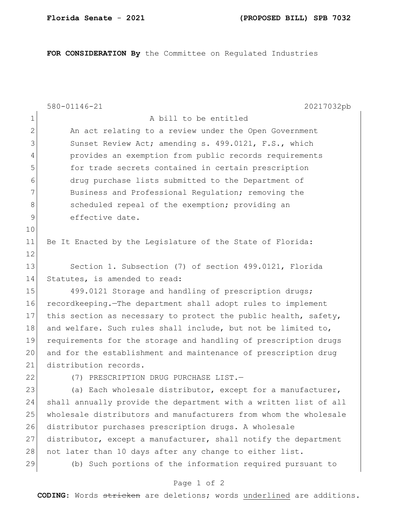**FOR CONSIDERATION By** the Committee on Regulated Industries

|              | 580-01146-21<br>20217032pb                                       |
|--------------|------------------------------------------------------------------|
| 1            | A bill to be entitled                                            |
| $\mathbf{2}$ | An act relating to a review under the Open Government            |
| 3            | Sunset Review Act; amending s. 499.0121, F.S., which             |
| 4            | provides an exemption from public records requirements           |
| 5            | for trade secrets contained in certain prescription              |
| 6            | drug purchase lists submitted to the Department of               |
| 7            | Business and Professional Regulation; removing the               |
| 8            | scheduled repeal of the exemption; providing an                  |
| 9            | effective date.                                                  |
| 10           |                                                                  |
| 11           | Be It Enacted by the Legislature of the State of Florida:        |
| 12           |                                                                  |
| 13           | Section 1. Subsection (7) of section 499.0121, Florida           |
| 14           | Statutes, is amended to read:                                    |
| 15           | 499.0121 Storage and handling of prescription drugs;             |
| 16           | recordkeeping. The department shall adopt rules to implement     |
| 17           | this section as necessary to protect the public health, safety,  |
| 18           | and welfare. Such rules shall include, but not be limited to,    |
| 19           | requirements for the storage and handling of prescription drugs  |
| 20           | and for the establishment and maintenance of prescription drug   |
| 21           | distribution records.                                            |
| 22           | (7) PRESCRIPTION DRUG PURCHASE LIST.-                            |
| 23           | (a) Each wholesale distributor, except for a manufacturer,       |
| 24           | shall annually provide the department with a written list of all |
| 25           | wholesale distributors and manufacturers from whom the wholesale |
| 26           | distributor purchases prescription drugs. A wholesale            |
| 27           | distributor, except a manufacturer, shall notify the department  |
| 28           | not later than 10 days after any change to either list.          |
| 29           | (b) Such portions of the information required pursuant to        |
|              | Page 1 of 2                                                      |

**CODING**: Words stricken are deletions; words underlined are additions.